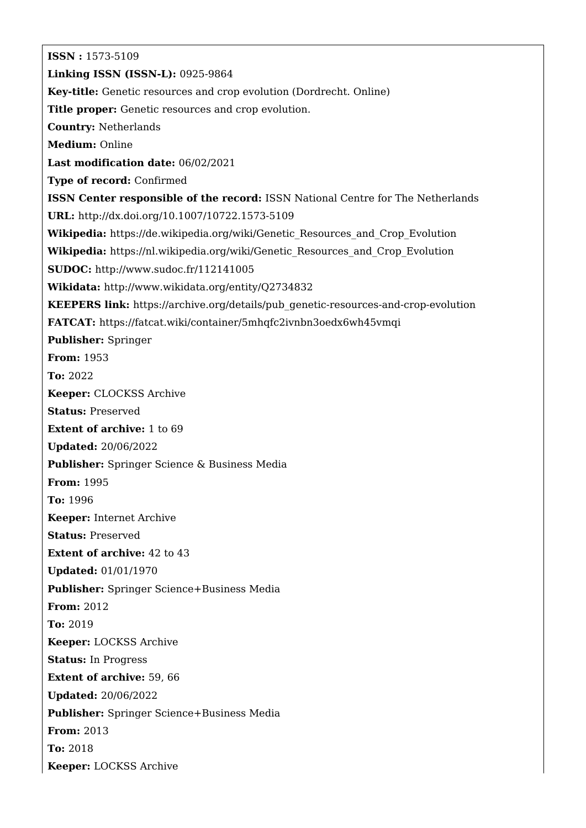**ISSN :** 1573-5109 **Linking ISSN (ISSN-L):** 0925-9864 **Key-title:** Genetic resources and crop evolution (Dordrecht. Online) **Title proper:** Genetic resources and crop evolution. **Country:** Netherlands **Medium:** Online **Last modification date:** 06/02/2021 **Type of record:** Confirmed **ISSN Center responsible of the record:** ISSN National Centre for The Netherlands **URL:** <http://dx.doi.org/10.1007/10722.1573-5109> **Wikipedia:** [https://de.wikipedia.org/wiki/Genetic\\_Resources\\_and\\_Crop\\_Evolution](https://de.wikipedia.org/wiki/Genetic_Resources_and_Crop_Evolution) **Wikipedia:** [https://nl.wikipedia.org/wiki/Genetic\\_Resources\\_and\\_Crop\\_Evolution](https://nl.wikipedia.org/wiki/Genetic_Resources_and_Crop_Evolution) **SUDOC:** <http://www.sudoc.fr/112141005> **Wikidata:** <http://www.wikidata.org/entity/Q2734832> **KEEPERS link:** [https://archive.org/details/pub\\_genetic-resources-and-crop-evolution](https://archive.org/details/pub_genetic-resources-and-crop-evolution) **FATCAT:** <https://fatcat.wiki/container/5mhqfc2ivnbn3oedx6wh45vmqi> **Publisher:** Springer **From:** 1953 **To:** 2022 **Keeper:** CLOCKSS Archive **Status:** Preserved **Extent of archive:** 1 to 69 **Updated:** 20/06/2022 **Publisher:** Springer Science & Business Media **From:** 1995 **To:** 1996 **Keeper:** Internet Archive **Status:** Preserved **Extent of archive:** 42 to 43 **Updated:** 01/01/1970 **Publisher:** Springer Science+Business Media **From:** 2012 **To:** 2019 **Keeper:** LOCKSS Archive **Status:** In Progress **Extent of archive:** 59, 66 **Updated:** 20/06/2022 **Publisher:** Springer Science+Business Media **From:** 2013 **To:** 2018 **Keeper:** LOCKSS Archive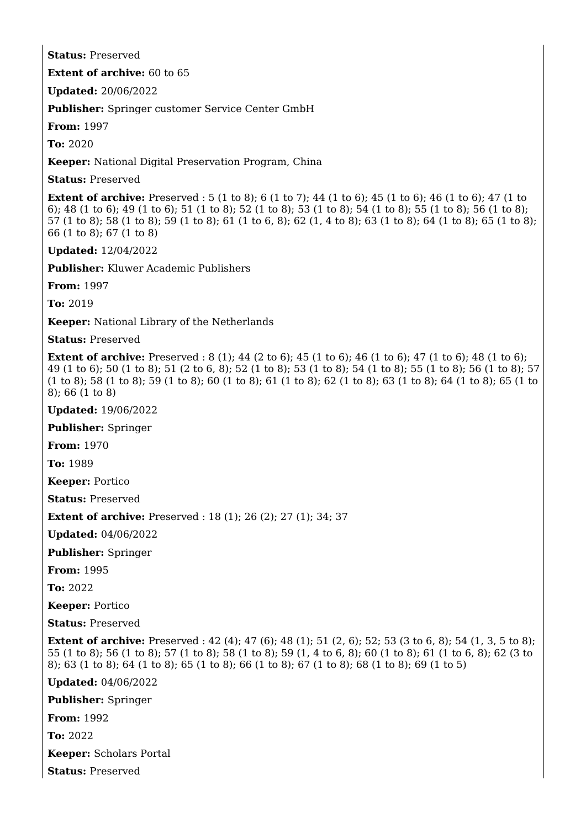## **Status:** Preserved

**Extent of archive:** 60 to 65

**Updated:** 20/06/2022

**Publisher:** Springer customer Service Center GmbH

**From:** 1997

**To:** 2020

**Keeper:** National Digital Preservation Program, China

**Status:** Preserved

**Extent of archive:** Preserved : 5 (1 to 8); 6 (1 to 7); 44 (1 to 6); 45 (1 to 6); 46 (1 to 6); 47 (1 to 6); 48 (1 to 6); 49 (1 to 6); 51 (1 to 8); 52 (1 to 8); 53 (1 to 8); 54 (1 to 8); 55 (1 to 8); 56 (1 to 8); 57 (1 to 8); 58 (1 to 8); 59 (1 to 8); 61 (1 to 6, 8); 62 (1, 4 to 8); 63 (1 to 8); 64 (1 to 8); 65 (1 to 8); 66 (1 to 8); 67 (1 to 8)

**Updated:** 12/04/2022

**Publisher:** Kluwer Academic Publishers

**From:** 1997

**To:** 2019

**Keeper:** National Library of the Netherlands

**Status:** Preserved

**Extent of archive:** Preserved : 8 (1); 44 (2 to 6); 45 (1 to 6); 46 (1 to 6); 47 (1 to 6); 48 (1 to 6); 49 (1 to 6); 50 (1 to 8); 51 (2 to 6, 8); 52 (1 to 8); 53 (1 to 8); 54 (1 to 8); 55 (1 to 8); 56 (1 to 8); 57 (1 to 8); 58 (1 to 8); 59 (1 to 8); 60 (1 to 8); 61 (1 to 8); 62 (1 to 8); 63 (1 to 8); 64 (1 to 8); 65 (1 to 8); 66 (1 to 8)

**Updated:** 19/06/2022

**Publisher:** Springer

**From:** 1970

**To:** 1989

**Keeper:** Portico

**Status:** Preserved

**Extent of archive:** Preserved : 18 (1); 26 (2); 27 (1); 34; 37

**Updated:** 04/06/2022

**Publisher:** Springer

**From:** 1995

**To:** 2022

**Keeper:** Portico

**Status:** Preserved

**Extent of archive:** Preserved: 42 (4): 47 (6): 48 (1): 51 (2, 6): 52: 53 (3 to 6, 8): 54 (1, 3, 5 to 8): 55 (1 to 8); 56 (1 to 8); 57 (1 to 8); 58 (1 to 8); 59 (1, 4 to 6, 8); 60 (1 to 8); 61 (1 to 6, 8); 62 (3 to 8); 63 (1 to 8); 64 (1 to 8); 65 (1 to 8); 66 (1 to 8); 67 (1 to 8); 68 (1 to 8); 69 (1 to 5)

**Updated:** 04/06/2022

**Publisher:** Springer

**From:** 1992

**To:** 2022

**Keeper:** Scholars Portal

**Status:** Preserved